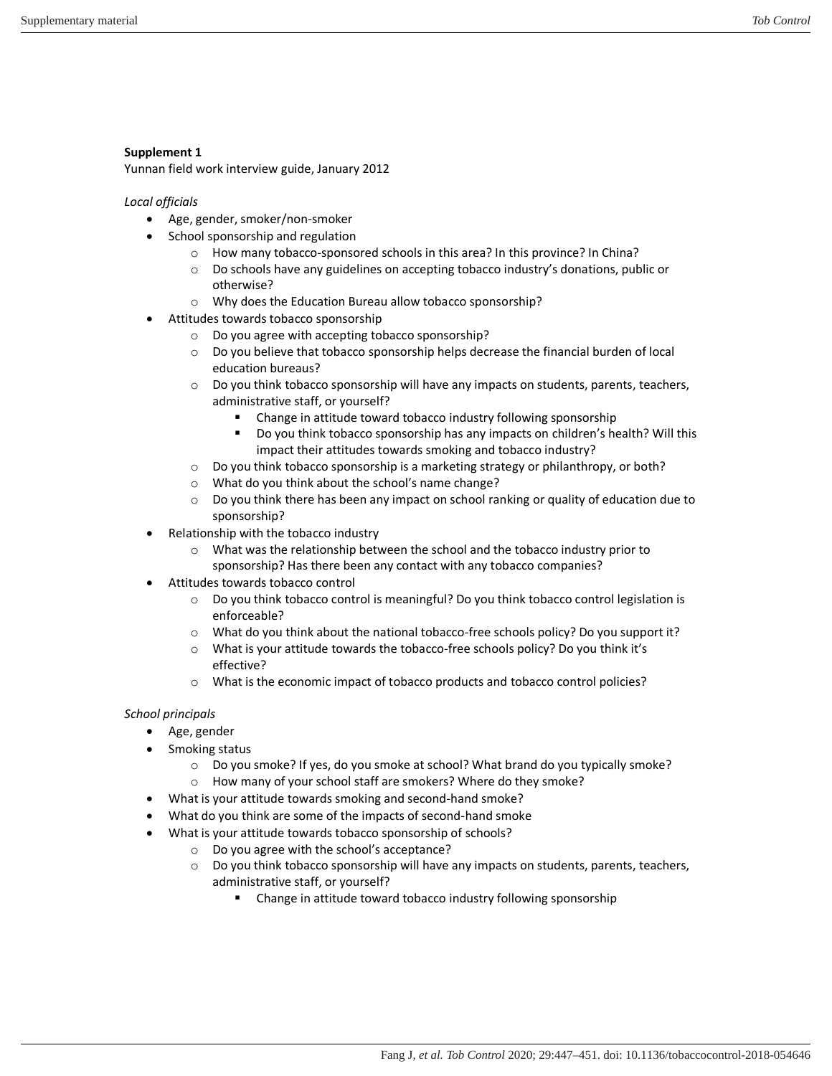## **Supplement 1**

Yunnan field work interview guide, January 2012

*Local officials* 

- Age, gender, smoker/non-smoker
- School sponsorship and regulation
	- o How many tobacco-sponsored schools in this area? In this province? In China?
	- o Do schools have any guidelines on accepting tobacco industry's donations, public or otherwise?
	- o Why does the Education Bureau allow tobacco sponsorship?
- Attitudes towards tobacco sponsorship
	- o Do you agree with accepting tobacco sponsorship?
	- o Do you believe that tobacco sponsorship helps decrease the financial burden of local education bureaus?
	- o Do you think tobacco sponsorship will have any impacts on students, parents, teachers, administrative staff, or yourself?
		- **EXTER** Change in attitude toward tobacco industry following sponsorship
		- Do you think tobacco sponsorship has any impacts on children's health? Will this impact their attitudes towards smoking and tobacco industry?
	- o Do you think tobacco sponsorship is a marketing strategy or philanthropy, or both?
	- o What do you think about the school's name change?
	- $\circ$  Do you think there has been any impact on school ranking or quality of education due to sponsorship?
- Relationship with the tobacco industry
	- o What was the relationship between the school and the tobacco industry prior to sponsorship? Has there been any contact with any tobacco companies?
- Attitudes towards tobacco control
	- o Do you think tobacco control is meaningful? Do you think tobacco control legislation is enforceable?
	- o What do you think about the national tobacco-free schools policy? Do you support it?
	- o What is your attitude towards the tobacco-free schools policy? Do you think it's effective?
	- o What is the economic impact of tobacco products and tobacco control policies?

# *School principals*

- Age, gender
- Smoking status
	- $\circ$  Do you smoke? If yes, do you smoke at school? What brand do you typically smoke?
	- o How many of your school staff are smokers? Where do they smoke?
- What is your attitude towards smoking and second-hand smoke?
- What do you think are some of the impacts of second-hand smoke
- What is your attitude towards tobacco sponsorship of schools?
	- o Do you agree with the school's acceptance?
	- o Do you think tobacco sponsorship will have any impacts on students, parents, teachers, administrative staff, or yourself?
		- Change in attitude toward tobacco industry following sponsorship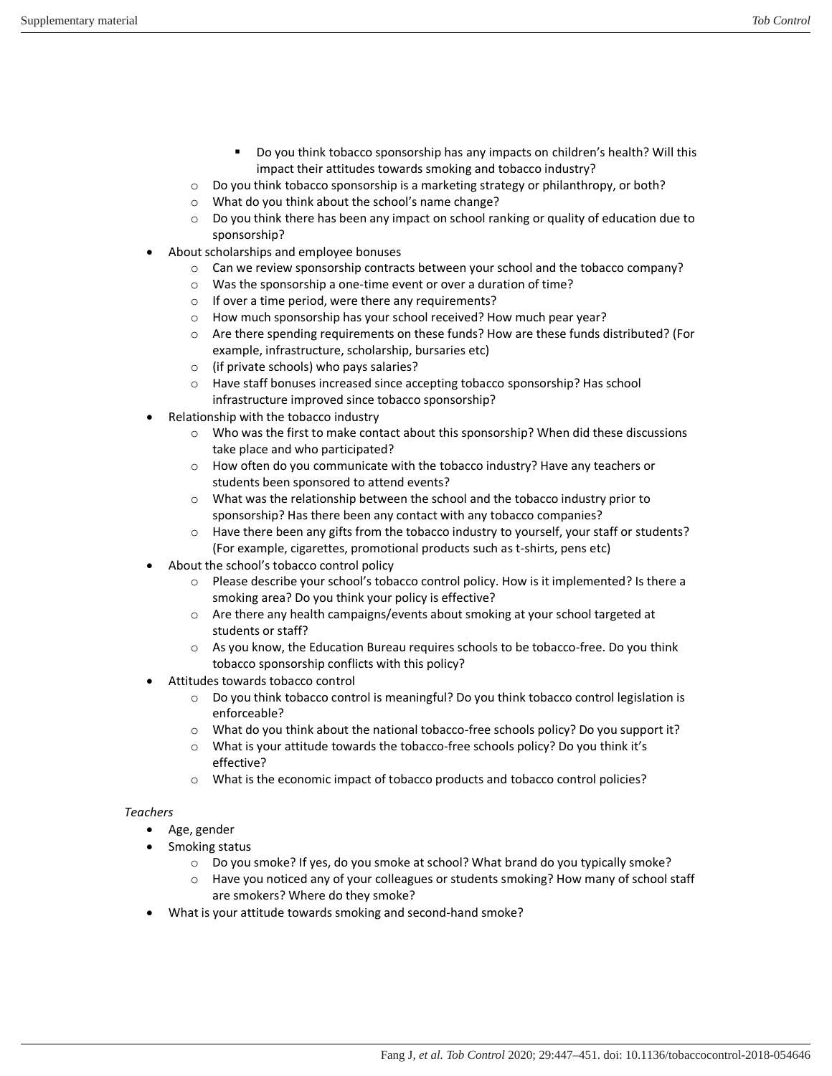- Do you think tobacco sponsorship has any impacts on children's health? Will this impact their attitudes towards smoking and tobacco industry?
- o Do you think tobacco sponsorship is a marketing strategy or philanthropy, or both?
- o What do you think about the school's name change?
- $\circ$  Do you think there has been any impact on school ranking or quality of education due to sponsorship?
- About scholarships and employee bonuses
	- o Can we review sponsorship contracts between your school and the tobacco company?
	- o Was the sponsorship a one-time event or over a duration of time?
	- o If over a time period, were there any requirements?
	- o How much sponsorship has your school received? How much pear year?
	- o Are there spending requirements on these funds? How are these funds distributed? (For example, infrastructure, scholarship, bursaries etc)
	- o (if private schools) who pays salaries?
	- o Have staff bonuses increased since accepting tobacco sponsorship? Has school infrastructure improved since tobacco sponsorship?
- Relationship with the tobacco industry
	- o Who was the first to make contact about this sponsorship? When did these discussions take place and who participated?
	- o How often do you communicate with the tobacco industry? Have any teachers or students been sponsored to attend events?
	- o What was the relationship between the school and the tobacco industry prior to sponsorship? Has there been any contact with any tobacco companies?
	- o Have there been any gifts from the tobacco industry to yourself, your staff or students? (For example, cigarettes, promotional products such as t-shirts, pens etc)
- About the school's tobacco control policy
	- o Please describe your school's tobacco control policy. How is it implemented? Is there a smoking area? Do you think your policy is effective?
	- o Are there any health campaigns/events about smoking at your school targeted at students or staff?
	- o As you know, the Education Bureau requires schools to be tobacco-free. Do you think tobacco sponsorship conflicts with this policy?
- Attitudes towards tobacco control
	- o Do you think tobacco control is meaningful? Do you think tobacco control legislation is enforceable?
	- o What do you think about the national tobacco-free schools policy? Do you support it?
	- o What is your attitude towards the tobacco-free schools policy? Do you think it's effective?
	- o What is the economic impact of tobacco products and tobacco control policies?

#### *Teachers*

- Age, gender
- Smoking status
	- o Do you smoke? If yes, do you smoke at school? What brand do you typically smoke?
	- $\circ$  Have you noticed any of your colleagues or students smoking? How many of school staff are smokers? Where do they smoke?
- What is your attitude towards smoking and second-hand smoke?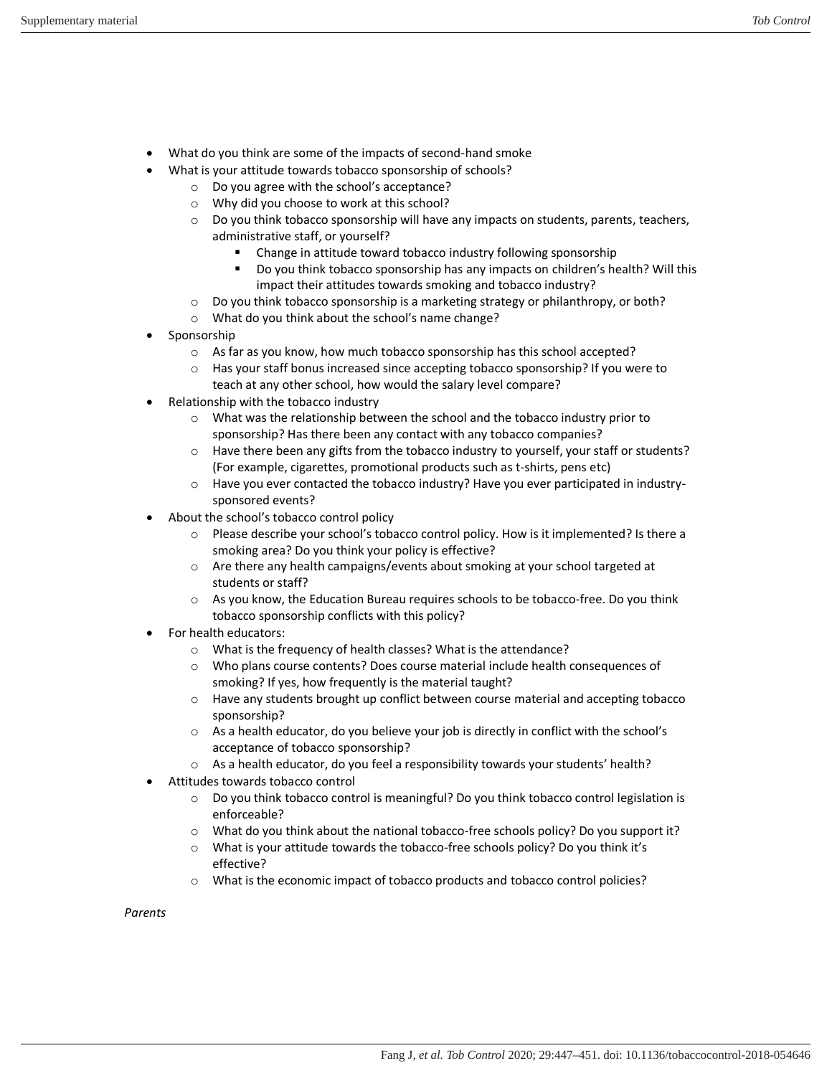- What do you think are some of the impacts of second-hand smoke
- What is your attitude towards tobacco sponsorship of schools?
	- o Do you agree with the school's acceptance?
	- o Why did you choose to work at this school?
	- o Do you think tobacco sponsorship will have any impacts on students, parents, teachers, administrative staff, or yourself?
		- Change in attitude toward tobacco industry following sponsorship
		- Do you think tobacco sponsorship has any impacts on children's health? Will this impact their attitudes towards smoking and tobacco industry?
	- $\circ$  Do you think tobacco sponsorship is a marketing strategy or philanthropy, or both?
	- o What do you think about the school's name change?
- Sponsorship
	- o As far as you know, how much tobacco sponsorship has this school accepted?
	- o Has your staff bonus increased since accepting tobacco sponsorship? If you were to teach at any other school, how would the salary level compare?
- Relationship with the tobacco industry
	- o What was the relationship between the school and the tobacco industry prior to sponsorship? Has there been any contact with any tobacco companies?
	- o Have there been any gifts from the tobacco industry to yourself, your staff or students? (For example, cigarettes, promotional products such as t-shirts, pens etc)
	- o Have you ever contacted the tobacco industry? Have you ever participated in industrysponsored events?
- About the school's tobacco control policy
	- o Please describe your school's tobacco control policy. How is it implemented? Is there a smoking area? Do you think your policy is effective?
	- o Are there any health campaigns/events about smoking at your school targeted at students or staff?
	- o As you know, the Education Bureau requires schools to be tobacco-free. Do you think tobacco sponsorship conflicts with this policy?
- For health educators:
	- o What is the frequency of health classes? What is the attendance?
	- o Who plans course contents? Does course material include health consequences of smoking? If yes, how frequently is the material taught?
	- o Have any students brought up conflict between course material and accepting tobacco sponsorship?
	- o As a health educator, do you believe your job is directly in conflict with the school's acceptance of tobacco sponsorship?
	- o As a health educator, do you feel a responsibility towards your students' health?
- Attitudes towards tobacco control
	- o Do you think tobacco control is meaningful? Do you think tobacco control legislation is enforceable?
	- o What do you think about the national tobacco-free schools policy? Do you support it?
	- $\circ$  What is your attitude towards the tobacco-free schools policy? Do you think it's effective?
	- o What is the economic impact of tobacco products and tobacco control policies?

*Parents*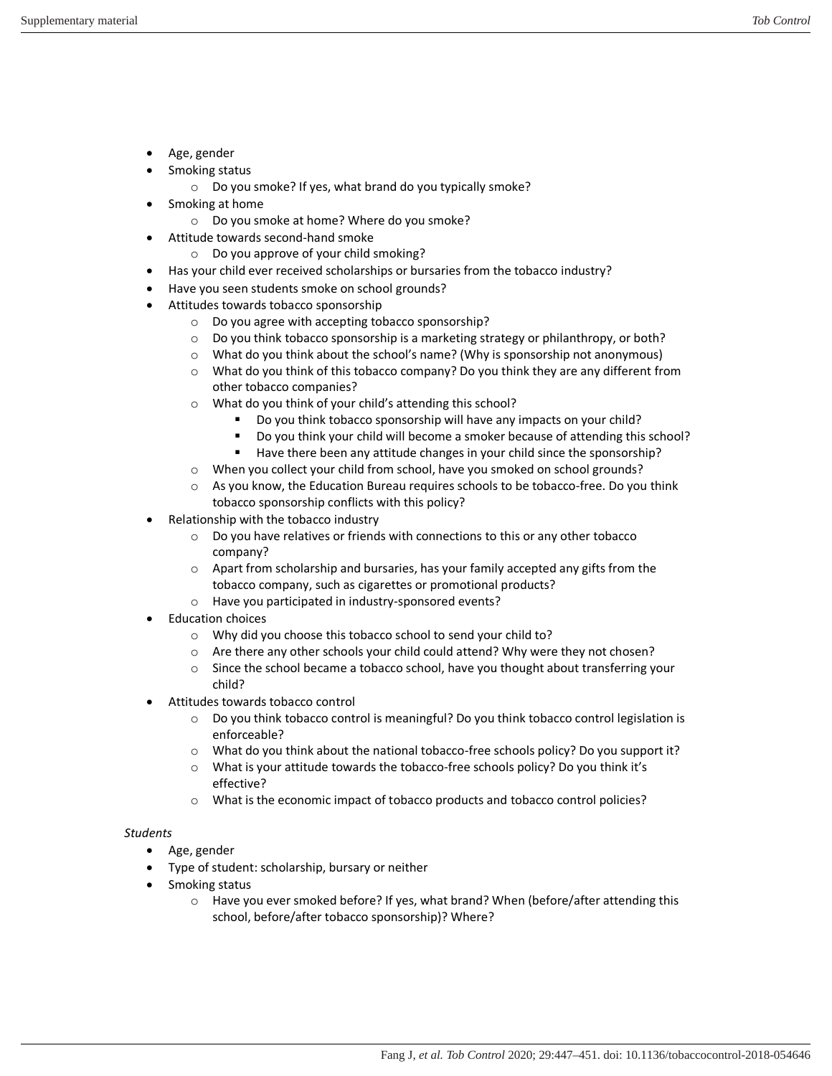- Age, gender
- Smoking status
	- o Do you smoke? If yes, what brand do you typically smoke?
- Smoking at home
	- o Do you smoke at home? Where do you smoke?
- Attitude towards second-hand smoke
	- o Do you approve of your child smoking?
- Has your child ever received scholarships or bursaries from the tobacco industry?
- Have you seen students smoke on school grounds?
- Attitudes towards tobacco sponsorship
	- o Do you agree with accepting tobacco sponsorship?
	- $\circ$  Do you think tobacco sponsorship is a marketing strategy or philanthropy, or both?
	- o What do you think about the school's name? (Why is sponsorship not anonymous)
	- o What do you think of this tobacco company? Do you think they are any different from other tobacco companies?
	- o What do you think of your child's attending this school?
		- Do you think tobacco sponsorship will have any impacts on your child?
		- Do you think your child will become a smoker because of attending this school?
		- Have there been any attitude changes in your child since the sponsorship?
	- o When you collect your child from school, have you smoked on school grounds?
	- o As you know, the Education Bureau requires schools to be tobacco-free. Do you think tobacco sponsorship conflicts with this policy?
- Relationship with the tobacco industry
	- o Do you have relatives or friends with connections to this or any other tobacco company?
	- o Apart from scholarship and bursaries, has your family accepted any gifts from the tobacco company, such as cigarettes or promotional products?
	- o Have you participated in industry-sponsored events?
- Education choices
	- o Why did you choose this tobacco school to send your child to?
	- o Are there any other schools your child could attend? Why were they not chosen?
	- $\circ$  Since the school became a tobacco school, have you thought about transferring your child?
- Attitudes towards tobacco control
	- o Do you think tobacco control is meaningful? Do you think tobacco control legislation is enforceable?
	- o What do you think about the national tobacco-free schools policy? Do you support it?
	- $\circ$  What is your attitude towards the tobacco-free schools policy? Do you think it's effective?
	- o What is the economic impact of tobacco products and tobacco control policies?

### *Students*

- Age, gender
- Type of student: scholarship, bursary or neither
- Smoking status
	- $\circ$  Have you ever smoked before? If yes, what brand? When (before/after attending this school, before/after tobacco sponsorship)? Where?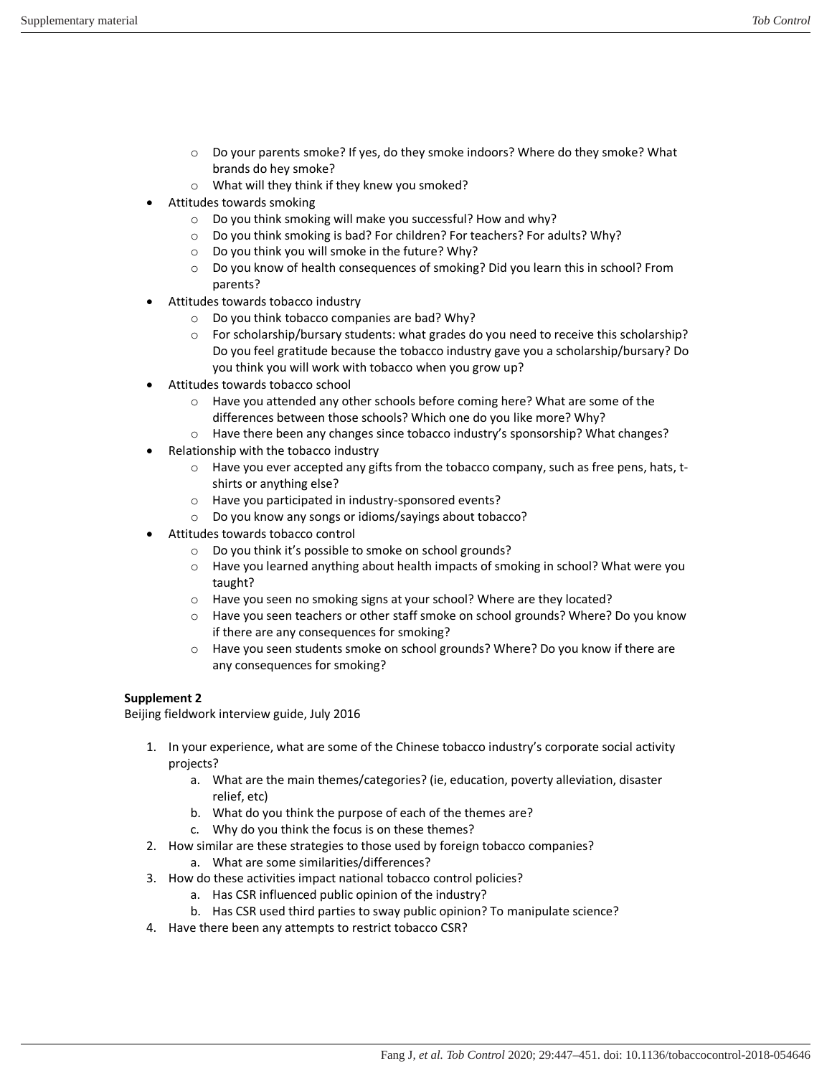- o Do your parents smoke? If yes, do they smoke indoors? Where do they smoke? What brands do hey smoke?
- o What will they think if they knew you smoked?
- Attitudes towards smoking
	- o Do you think smoking will make you successful? How and why?
	- o Do you think smoking is bad? For children? For teachers? For adults? Why?
	- $\circ$  Do you think you will smoke in the future? Why?
	- o Do you know of health consequences of smoking? Did you learn this in school? From parents?
- Attitudes towards tobacco industry
	- o Do you think tobacco companies are bad? Why?
	- o For scholarship/bursary students: what grades do you need to receive this scholarship? Do you feel gratitude because the tobacco industry gave you a scholarship/bursary? Do you think you will work with tobacco when you grow up?
- Attitudes towards tobacco school
	- o Have you attended any other schools before coming here? What are some of the differences between those schools? Which one do you like more? Why?
	- o Have there been any changes since tobacco industry's sponsorship? What changes?
- Relationship with the tobacco industry
	- o Have you ever accepted any gifts from the tobacco company, such as free pens, hats, tshirts or anything else?
	- o Have you participated in industry-sponsored events?
	- o Do you know any songs or idioms/sayings about tobacco?
- Attitudes towards tobacco control
	- o Do you think it's possible to smoke on school grounds?
	- o Have you learned anything about health impacts of smoking in school? What were you taught?
	- o Have you seen no smoking signs at your school? Where are they located?
	- o Have you seen teachers or other staff smoke on school grounds? Where? Do you know if there are any consequences for smoking?
	- o Have you seen students smoke on school grounds? Where? Do you know if there are any consequences for smoking?

#### **Supplement 2**

Beijing fieldwork interview guide, July 2016

- 1. In your experience, what are some of the Chinese tobacco industry's corporate social activity projects?
	- a. What are the main themes/categories? (ie, education, poverty alleviation, disaster relief, etc)
	- b. What do you think the purpose of each of the themes are?
	- c. Why do you think the focus is on these themes?
- 2. How similar are these strategies to those used by foreign tobacco companies?
	- a. What are some similarities/differences?
- 3. How do these activities impact national tobacco control policies?
	- a. Has CSR influenced public opinion of the industry?
	- b. Has CSR used third parties to sway public opinion? To manipulate science?
- 4. Have there been any attempts to restrict tobacco CSR?